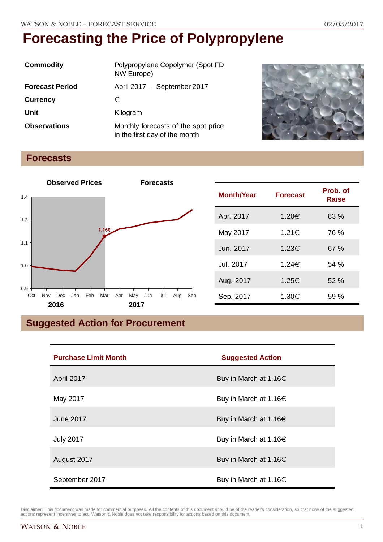| Commodity              | Polypropylene Copolymer (Spot FD<br>NW Europe)                       |  |
|------------------------|----------------------------------------------------------------------|--|
| <b>Forecast Period</b> | April 2017 - September 2017                                          |  |
| <b>Currency</b>        | €                                                                    |  |
| Unit                   | Kilogram                                                             |  |
| <b>Observations</b>    | Monthly forecasts of the spot price<br>in the first day of the month |  |



## **Forecasts**



| <b>Month/Year</b> | <b>Forecast</b> | Prob. of<br><b>Raise</b> |
|-------------------|-----------------|--------------------------|
| Apr. 2017         | 1.20€           | 83 %                     |
| May 2017          | 1.21€           | 76 %                     |
| Jun. 2017         | 1.23€           | 67 %                     |
| Jul. 2017         | 1.24€           | 54%                      |
| Aug. 2017         | 1.25€           | 52%                      |
| Sep. 2017         | 1.30€           | 59 %                     |

## **Suggested Action for Procurement**

| <b>Purchase Limit Month</b> | <b>Suggested Action</b>    |
|-----------------------------|----------------------------|
| April 2017                  | Buy in March at 1.16 $\in$ |
| May 2017                    | Buy in March at 1.16 $\in$ |
| <b>June 2017</b>            | Buy in March at 1.16 $\in$ |
| <b>July 2017</b>            | Buy in March at 1.16 $\in$ |
| August 2017                 | Buy in March at 1.16 $\in$ |
| September 2017              | Buy in March at 1.16 $\in$ |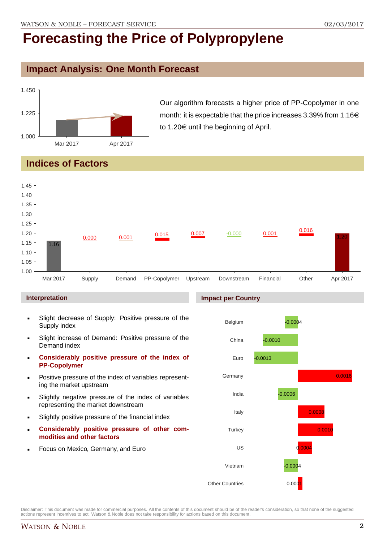### **Impact Analysis: One Month Forecast**



Our algorithm forecasts a higher price of PP-Copolymer in one month: it is expectable that the price increases 3.39% from  $1.16 \in$ to 1.20 $\in$  until the beginning of April.

## **Indices of Factors**



#### **Interpretation**

- Slight decrease of Supply: Positive pressure of the Supply index
- Slight increase of Demand: Positive pressure of the Demand index
- **Considerably positive pressure of the index of PP-Copolymer**
- Positive pressure of the index of variables representing the market upstream
- Slightly negative pressure of the index of variables representing the market downstream
- Slightly positive pressure of the financial index
- **Considerably positive pressure of other commodities and other factors**
- Focus on Mexico, Germany, and Euro

#### **Impact per Country**

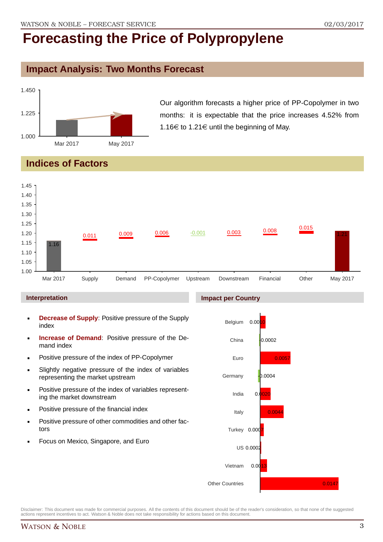## **Impact Analysis: Two Months Forecast**



Our algorithm forecasts a higher price of PP-Copolymer in two months: it is expectable that the price increases 4.52% from 1.16 $\in$  to 1.21 $\in$  until the beginning of May.

## **Indices of Factors**



#### **Interpretation**

- **Decrease of Supply**: Positive pressure of the Supply index
- **Increase of Demand**: Positive pressure of the Demand index
- **Positive pressure of the index of PP-Copolymer**
- Slightly negative pressure of the index of variables representing the market upstream
- **Positive pressure of the index of variables represent**ing the market downstream
- **•** Positive pressure of the financial index
- **Positive pressure of other commodities and other fac**tors
- Focus on Mexico, Singapore, and Euro

#### **Impact per Country**

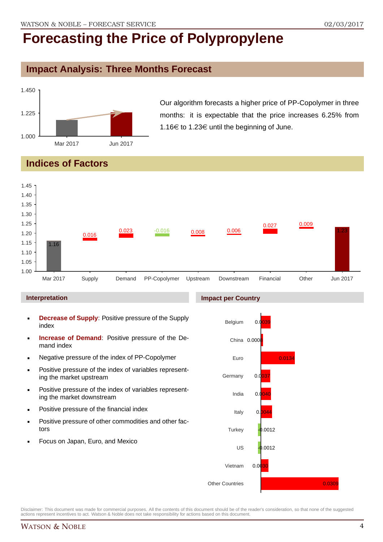## **Impact Analysis: Three Months Forecast**



Our algorithm forecasts a higher price of PP-Copolymer in three months: it is expectable that the price increases 6.25% from 1.16 $\in$  to 1.23 $\in$  until the beginning of June.

## **Indices of Factors**



#### **Interpretation**

- **Decrease of Supply**: Positive pressure of the Supply index
- **Increase of Demand**: Positive pressure of the Demand index
- **Negative pressure of the index of PP-Copolymer**
- **Positive pressure of the index of variables represent**ing the market upstream
- **Positive pressure of the index of variables represent**ing the market downstream
- **•** Positive pressure of the financial index
- **Positive pressure of other commodities and other fac**tors
- Focus on Japan, Euro, and Mexico

#### **Impact per Country**



Disclaimer: This document was made for commercial purposes. All the contents of this document should be of the reader's consideration, so that none of the suggested actions represent incentives to act. Watson & Noble does not take responsibility for actions based on this document.

0.0309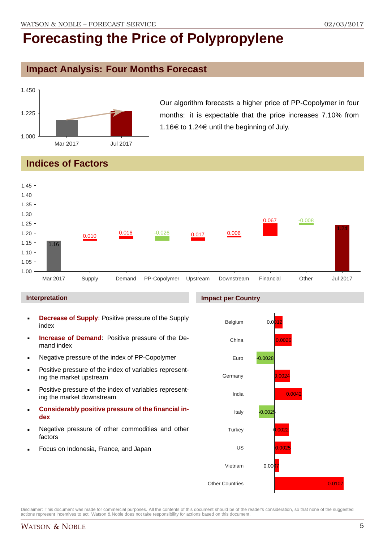### **Impact Analysis: Four Months Forecast**



Our algorithm forecasts a higher price of PP-Copolymer in four months: it is expectable that the price increases 7.10% from 1.16 $\in$  to 1.24 $\in$  until the beginning of July.

## **Indices of Factors**



#### **Interpretation**

- **Decrease of Supply**: Positive pressure of the Supply index
- **Increase of Demand**: Positive pressure of the Demand index
- Negative pressure of the index of PP-Copolymer
- **Positive pressure of the index of variables represent**ing the market upstream
- **Positive pressure of the index of variables represent**ing the market downstream
- **Considerably positive pressure of the financial index**
- Negative pressure of other commodities and other factors
- Focus on Indonesia, France, and Japan

#### **Impact per Country**

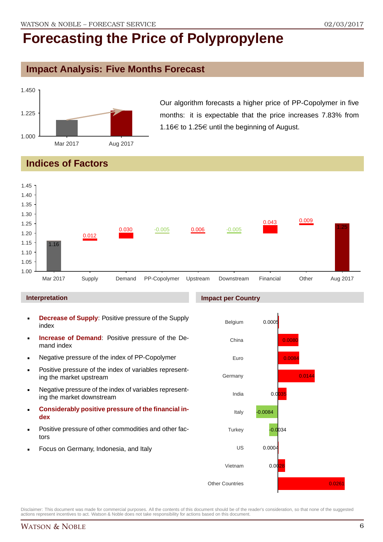### **Impact Analysis: Five Months Forecast**



Our algorithm forecasts a higher price of PP-Copolymer in five months: it is expectable that the price increases 7.83% from 1.16€ to 1.25€ until the beginning of August.

## **Indices of Factors**



#### **Interpretation**

- **Decrease of Supply**: Positive pressure of the Supply index
- **Increase of Demand**: Positive pressure of the Demand index
- Negative pressure of the index of PP-Copolymer
- **Positive pressure of the index of variables represent**ing the market upstream
- Negative pressure of the index of variables representing the market downstream
- **Considerably positive pressure of the financial index**
- Positive pressure of other commodities and other factors
- Focus on Germany, Indonesia, and Italy

#### **Impact per Country**

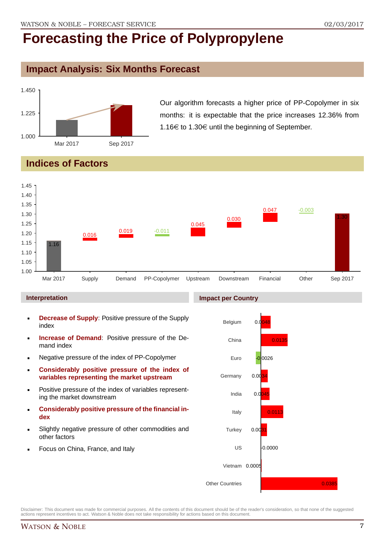### **Impact Analysis: Six Months Forecast**



Our algorithm forecasts a higher price of PP-Copolymer in six months: it is expectable that the price increases 12.36% from 1.16 $\in$  to 1.30 $\in$  until the beginning of September.

## **Indices of Factors**



#### **Interpretation**

- **Decrease of Supply**: Positive pressure of the Supply index
- **Increase of Demand**: Positive pressure of the Demand index
- Negative pressure of the index of PP-Copolymer
- **Considerably positive pressure of the index of variables representing the market upstream**
- **Positive pressure of the index of variables represent**ing the market downstream
- **Considerably positive pressure of the financial index**
- Slightly negative pressure of other commodities and other factors
- Focus on China, France, and Italy

#### **Impact per Country**



Disclaimer: This document was made for commercial purposes. All the contents of this document should be of the reader's consideration, so that none of the suggested actions represent incentives to act. Watson & Noble does not take responsibility for actions based on this document.

0.0385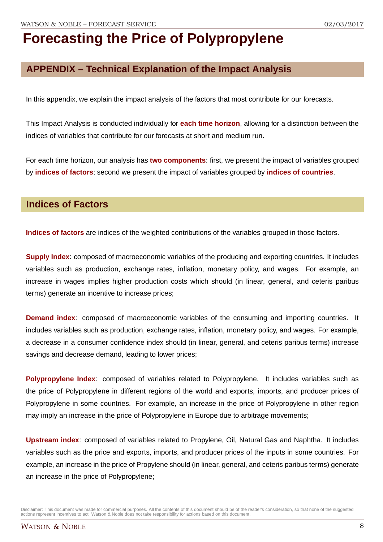## **APPENDIX – Technical Explanation of the Impact Analysis**

In this appendix, we explain the impact analysis of the factors that most contribute for our forecasts.

This Impact Analysis is conducted individually for **each time horizon**, allowing for a distinction between the indices of variables that contribute for our forecasts at short and medium run.

For each time horizon, our analysis has **two components**: first, we present the impact of variables grouped by **indices of factors**; second we present the impact of variables grouped by **indices of countries**.

### **Indices of Factors**

**Indices of factors** are indices of the weighted contributions of the variables grouped in those factors.

**Supply Index**: composed of macroeconomic variables of the producing and exporting countries. It includes variables such as production, exchange rates, inflation, monetary policy, and wages. For example, an increase in wages implies higher production costs which should (in linear, general, and ceteris paribus terms) generate an incentive to increase prices;

**Demand index**: composed of macroeconomic variables of the consuming and importing countries. It includes variables such as production, exchange rates, inflation, monetary policy, and wages. For example, a decrease in a consumer confidence index should (in linear, general, and ceteris paribus terms) increase savings and decrease demand, leading to lower prices;

**Polypropylene Index**: composed of variables related to Polypropylene. It includes variables such as the price of Polypropylene in different regions of the world and exports, imports, and producer prices of Polypropylene in some countries. For example, an increase in the price of Polypropylene in other region may imply an increase in the price of Polypropylene in Europe due to arbitrage movements;

**Upstream index**: composed of variables related to Propylene, Oil, Natural Gas and Naphtha. It includes variables such as the price and exports, imports, and producer prices of the inputs in some countries. For example, an increase in the price of Propylene should (in linear, general, and ceteris paribus terms) generate an increase in the price of Polypropylene;